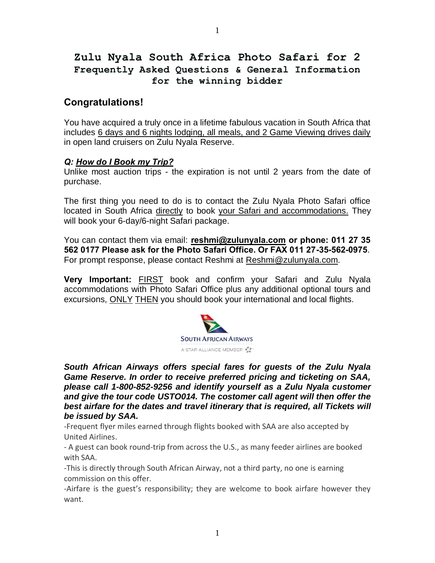# **Zulu Nyala South Africa Photo Safari for 2 Frequently Asked Questions & General Information for the winning bidder**

# **Congratulations!**

You have acquired a truly once in a lifetime fabulous vacation in South Africa that includes 6 days and 6 nights lodging, all meals, and 2 Game Viewing drives daily in open land cruisers on Zulu Nyala Reserve.

## *Q: How do I Book my Trip?*

Unlike most auction trips - the expiration is not until 2 years from the date of purchase.

The first thing you need to do is to contact the Zulu Nyala Photo Safari office located in South Africa directly to book your Safari and accommodations. They will book your 6-day/6-night Safari package.

You can contact them via email: **reshmi@zulunyala.com or phone: 011 27 35 562 0177 Please ask for the Photo Safari Office. Or FAX 011 27-35-562-0975**. For prompt response, please contact Reshmi at [Reshmi@zulunyala.com.](mailto:Reshmi@zulunyala.com)

**Very Important:** FIRST book and confirm your Safari and Zulu Nyala accommodations with Photo Safari Office plus any additional optional tours and excursions, ONLY THEN you should book your international and local flights.



*South African Airways offers special fares for guests of the Zulu Nyala Game Reserve. In order to receive preferred pricing and ticketing on SAA, please call 1-800-852-9256 and identify yourself as a Zulu Nyala customer and give the tour code USTO014. The costomer call agent will then offer the best airfare for the dates and travel itinerary that is required, all Tickets will be issued by SAA.* 

-Frequent flyer miles earned through flights booked with SAA are also accepted by United Airlines.

- A guest can book round-trip from across the U.S., as many feeder airlines are booked with SAA.

-This is directly through South African Airway, not a third party, no one is earning commission on this offer.

-Airfare is the guest's responsibility; they are welcome to book airfare however they want.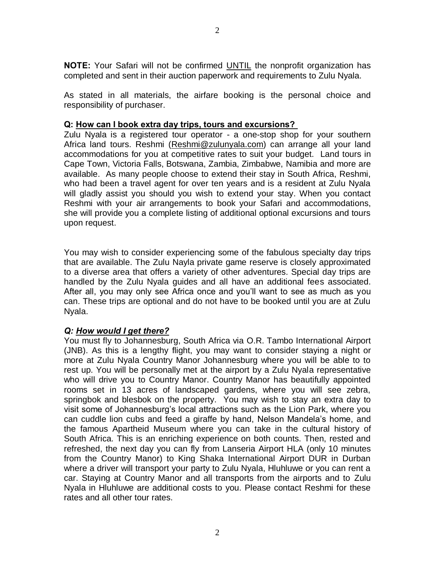**NOTE:** Your Safari will not be confirmed UNTIL the nonprofit organization has completed and sent in their auction paperwork and requirements to Zulu Nyala.

As stated in all materials, the airfare booking is the personal choice and responsibility of purchaser.

#### **Q: How can I book extra day trips, tours and excursions?**

Zulu Nyala is a registered tour operator - a one-stop shop for your southern Africa land tours. Reshmi [\(Reshmi@zulunyala.com\)](mailto:Reshmi@zulunyala.com) can arrange all your land accommodations for you at competitive rates to suit your budget. Land tours in Cape Town, Victoria Falls, Botswana, Zambia, Zimbabwe, Namibia and more are available. As many people choose to extend their stay in South Africa, Reshmi, who had been a travel agent for over ten years and is a resident at Zulu Nyala will gladly assist you should you wish to extend your stay. When you contact Reshmi with your air arrangements to book your Safari and accommodations, she will provide you a complete listing of additional optional excursions and tours upon request.

You may wish to consider experiencing some of the fabulous specialty day trips that are available. The Zulu Nayla private game reserve is closely approximated to a diverse area that offers a variety of other adventures. Special day trips are handled by the Zulu Nyala guides and all have an additional fees associated. After all, you may only see Africa once and you'll want to see as much as you can. These trips are optional and do not have to be booked until you are at Zulu Nyala.

## *Q: How would I get there?*

You must fly to Johannesburg, South Africa via O.R. Tambo International Airport (JNB). As this is a lengthy flight, you may want to consider staying a night or more at Zulu Nyala Country Manor Johannesburg where you will be able to to rest up. You will be personally met at the airport by a Zulu Nyala representative who will drive you to Country Manor. Country Manor has beautifully appointed rooms set in 13 acres of landscaped gardens, where you will see zebra, springbok and blesbok on the property. You may wish to stay an extra day to visit some of Johannesburg's local attractions such as the Lion Park, where you can cuddle lion cubs and feed a giraffe by hand, Nelson Mandela's home, and the famous Apartheid Museum where you can take in the cultural history of South Africa. This is an enriching experience on both counts. Then, rested and refreshed, the next day you can fly from Lanseria Airport HLA (only 10 minutes from the Country Manor) to King Shaka International Airport DUR in Durban where a driver will transport your party to Zulu Nyala, Hluhluwe or you can rent a car. Staying at Country Manor and all transports from the airports and to Zulu Nyala in Hluhluwe are additional costs to you. Please contact Reshmi for these rates and all other tour rates.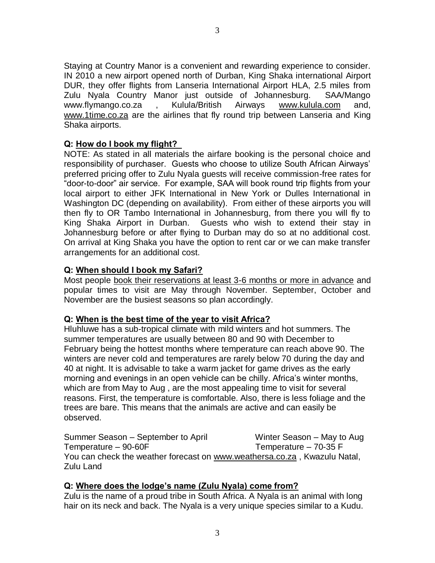Staying at Country Manor is a convenient and rewarding experience to consider. IN 2010 a new airport opened north of Durban, King Shaka international Airport DUR, they offer flights from Lanseria International Airport HLA, 2.5 miles from Zulu Nyala Country Manor just outside of Johannesburg. SAA/Mango www.flymango.co.za , Kulula/British Airways [www.kulula.com](http://www.kulula.com/) and, [www.1time.co.za](http://www.1time.co.za/) are the airlines that fly round trip between Lanseria and King Shaka airports.

## **Q: How do I book my flight?**

NOTE: As stated in all materials the airfare booking is the personal choice and responsibility of purchaser. Guests who choose to utilize South African Airways' preferred pricing offer to Zulu Nyala guests will receive commission-free rates for "door-to-door" air service. For example, SAA will book round trip flights from your local airport to either JFK International in New York or Dulles International in Washington DC (depending on availability). From either of these airports you will then fly to OR Tambo International in Johannesburg, from there you will fly to King Shaka Airport in Durban. Guests who wish to extend their stay in Johannesburg before or after flying to Durban may do so at no additional cost. On arrival at King Shaka you have the option to rent car or we can make transfer arrangements for an additional cost.

## **Q: When should I book my Safari?**

Most people book their reservations at least 3-6 months or more in advance and popular times to visit are May through November. September, October and November are the busiest seasons so plan accordingly.

## **Q: When is the best time of the year to visit Africa?**

Hluhluwe has a sub-tropical climate with mild winters and hot summers. The summer temperatures are usually between 80 and 90 with December to February being the hottest months where temperature can reach above 90. The winters are never cold and temperatures are rarely below 70 during the day and 40 at night. It is advisable to take a warm jacket for game drives as the early morning and evenings in an open vehicle can be chilly. Africa's winter months, which are from May to Aug , are the most appealing time to visit for several reasons. First, the temperature is comfortable. Also, there is less foliage and the trees are bare. This means that the animals are active and can easily be observed.

Summer Season – September to April Winter Season – May to Aug Temperature – 90-60F Temperature – 70-35 F You can check the weather forecast on [www.weathersa.co.za](http://www.weathersa.co.za/) , Kwazulu Natal, Zulu Land

## **Q: Where does the lodge's name (Zulu Nyala) come from?**

Zulu is the name of a proud tribe in South Africa. A Nyala is an animal with long hair on its neck and back. The Nyala is a very unique species similar to a Kudu.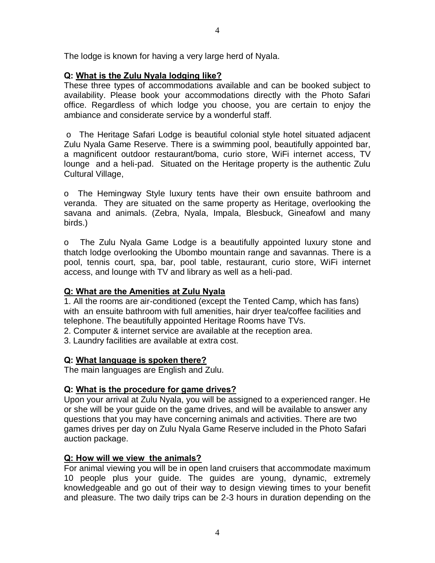The lodge is known for having a very large herd of Nyala.

## **Q: What is the Zulu Nyala lodging like?**

These three types of accommodations available and can be booked subject to availability. Please book your accommodations directly with the Photo Safari office. Regardless of which lodge you choose, you are certain to enjoy the ambiance and considerate service by a wonderful staff.

o The Heritage Safari Lodge is beautiful colonial style hotel situated adjacent Zulu Nyala Game Reserve. There is a swimming pool, beautifully appointed bar, a magnificent outdoor restaurant/boma, curio store, WiFi internet access, TV lounge and a heli-pad. Situated on the Heritage property is the authentic Zulu Cultural Village,

o The Hemingway Style luxury tents have their own ensuite bathroom and veranda. They are situated on the same property as Heritage, overlooking the savana and animals. (Zebra, Nyala, Impala, Blesbuck, Gineafowl and many birds.)

o The Zulu Nyala Game Lodge is a beautifully appointed luxury stone and thatch lodge overlooking the Ubombo mountain range and savannas. There is a pool, tennis court, spa, bar, pool table, restaurant, curio store, WiFi internet access, and lounge with TV and library as well as a heli-pad.

## **Q: What are the Amenities at Zulu Nyala**

1. All the rooms are air-conditioned (except the Tented Camp, which has fans) with an ensuite bathroom with full amenities, hair dryer tea/coffee facilities and telephone. The beautifully appointed Heritage Rooms have TVs.

- 2. Computer & internet service are available at the reception area.
- 3. Laundry facilities are available at extra cost.

## **Q: What language is spoken there?**

The main languages are English and Zulu.

## **Q: What is the procedure for game drives?**

Upon your arrival at Zulu Nyala, you will be assigned to a experienced ranger. He or she will be your guide on the game drives, and will be available to answer any questions that you may have concerning animals and activities. There are two games drives per day on Zulu Nyala Game Reserve included in the Photo Safari auction package.

## **Q: How will we view the animals?**

For animal viewing you will be in open land cruisers that accommodate maximum 10 people plus your guide. The guides are young, dynamic, extremely knowledgeable and go out of their way to design viewing times to your benefit and pleasure. The two daily trips can be 2-3 hours in duration depending on the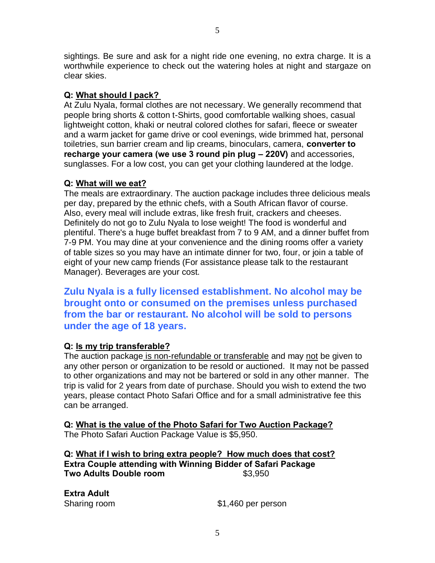sightings. Be sure and ask for a night ride one evening, no extra charge. It is a worthwhile experience to check out the watering holes at night and stargaze on clear skies.

## **Q: What should I pack?**

At Zulu Nyala, formal clothes are not necessary. We generally recommend that people bring shorts & cotton t-Shirts, good comfortable walking shoes, casual lightweight cotton, khaki or neutral colored clothes for safari, fleece or sweater and a warm jacket for game drive or cool evenings, wide brimmed hat, personal toiletries, sun barrier cream and lip creams, binoculars, camera, **converter to recharge your camera (we use 3 round pin plug – 220V)** and accessories, sunglasses. For a low cost, you can get your clothing laundered at the lodge.

## **Q: What will we eat?**

The meals are extraordinary. The auction package includes three delicious meals per day, prepared by the ethnic chefs, with a South African flavor of course. Also, every meal will include extras, like fresh fruit, crackers and cheeses. Definitely do not go to Zulu Nyala to lose weight! The food is wonderful and plentiful. There's a huge buffet breakfast from 7 to 9 AM, and a dinner buffet from 7-9 PM. You may dine at your convenience and the dining rooms offer a variety of table sizes so you may have an intimate dinner for two, four, or join a table of eight of your new camp friends (For assistance please talk to the restaurant Manager). Beverages are your cost.

**Zulu Nyala is a fully licensed establishment. No alcohol may be brought onto or consumed on the premises unless purchased from the bar or restaurant. No alcohol will be sold to persons under the age of 18 years.**

## **Q: Is my trip transferable?**

The auction package is non-refundable or transferable and may not be given to any other person or organization to be resold or auctioned. It may not be passed to other organizations and may not be bartered or sold in any other manner. The trip is valid for 2 years from date of purchase. Should you wish to extend the two years, please contact Photo Safari Office and for a small administrative fee this can be arranged.

**Q: What is the value of the Photo Safari for Two Auction Package?** The Photo Safari Auction Package Value is \$5,950.

**Q: What if I wish to bring extra people? How much does that cost? Extra Couple attending with Winning Bidder of Safari Package Two Adults Double room** \$3,950

**Extra Adult** 

Sharing room \$1,460 per person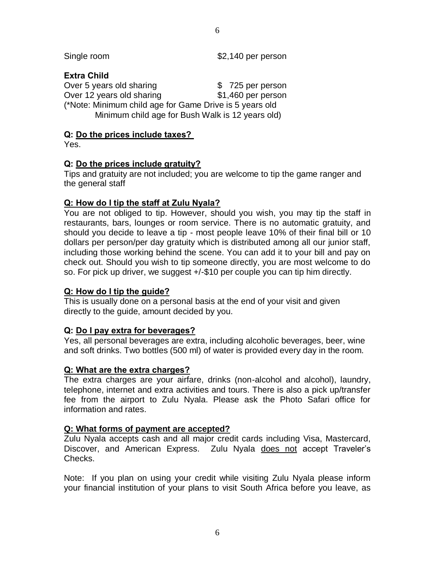Single room  $$2,140$  per person

## **Extra Child**

Over 5 years old sharing **\$ 725 per person** Over 12 years old sharing \$1,460 per person (\*Note: Minimum child age for Game Drive is 5 years old Minimum child age for Bush Walk is 12 years old)

## **Q: Do the prices include taxes?**

Yes.

## **Q: Do the prices include gratuity?**

Tips and gratuity are not included; you are welcome to tip the game ranger and the general staff

## **Q: How do I tip the staff at Zulu Nyala?**

You are not obliged to tip. However, should you wish, you may tip the staff in restaurants, bars, lounges or room service. There is no automatic gratuity, and should you decide to leave a tip - most people leave 10% of their final bill or 10 dollars per person/per day gratuity which is distributed among all our junior staff, including those working behind the scene. You can add it to your bill and pay on check out. Should you wish to tip someone directly, you are most welcome to do so. For pick up driver, we suggest +/-\$10 per couple you can tip him directly.

## **Q: How do I tip the guide?**

This is usually done on a personal basis at the end of your visit and given directly to the guide, amount decided by you.

## **Q: Do I pay extra for beverages?**

Yes, all personal beverages are extra, including alcoholic beverages, beer, wine and soft drinks. Two bottles (500 ml) of water is provided every day in the room.

## **Q: What are the extra charges?**

The extra charges are your airfare, drinks (non-alcohol and alcohol), laundry, telephone, internet and extra activities and tours. There is also a pick up/transfer fee from the airport to Zulu Nyala. Please ask the Photo Safari office for information and rates.

## **Q: What forms of payment are accepted?**

Zulu Nyala accepts cash and all major credit cards including Visa, Mastercard, Discover, and American Express. Zulu Nyala does not accept Traveler's Checks.

Note: If you plan on using your credit while visiting Zulu Nyala please inform your financial institution of your plans to visit South Africa before you leave, as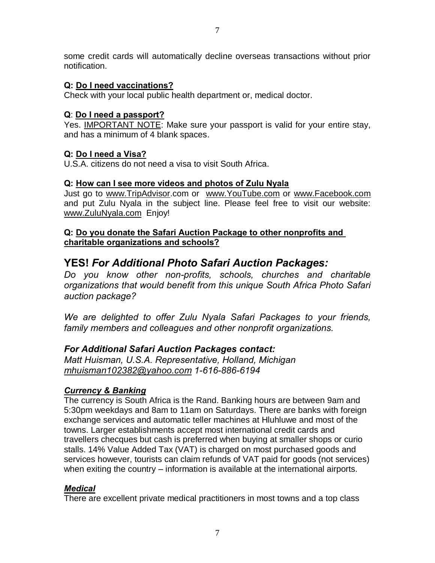some credit cards will automatically decline overseas transactions without prior notification.

## **Q: Do I need vaccinations?**

Check with your local public health department or, medical doctor.

## **Q**: **Do I need a passport?**

Yes. IMPORTANT NOTE: Make sure your passport is valid for your entire stay, and has a minimum of 4 blank spaces.

## **Q: Do I need a Visa?**

U.S.A. citizens do not need a visa to visit South Africa.

## **Q: How can I see more videos and photos of Zulu Nyala**

Just go to [www.TripAdvisor.](http://www.tripadvisor/)com or [www.YouTube.com](http://www.youtube.com/) or [www.Facebook.com](http://www.facebook.com/) and put Zulu Nyala in the subject line. Please feel free to visit our website: [www.ZuluNyala.com](http://www.zulunyala.com/) Enjoy!

## **Q: Do you donate the Safari Auction Package to other nonprofits and charitable organizations and schools?**

# **YES!** *For Additional Photo Safari Auction Packages:*

*Do you know other non-profits, schools, churches and charitable organizations that would benefit from this unique South Africa Photo Safari auction package?* 

*We are delighted to offer Zulu Nyala Safari Packages to your friends, family members and colleagues and other nonprofit organizations.*

## *For Additional Safari Auction Packages contact:*

*Matt Huisman, U.S.A. Representative, Holland, Michigan mhuisman102382@yahoo.com 1-616-886-6194*

## *Currency & Banking*

The currency is South Africa is the Rand. Banking hours are between 9am and 5:30pm weekdays and 8am to 11am on Saturdays. There are banks with foreign exchange services and automatic teller machines at Hluhluwe and most of the towns. Larger establishments accept most international credit cards and travellers checques but cash is preferred when buying at smaller shops or curio stalls. 14% Value Added Tax (VAT) is charged on most purchased goods and services however, tourists can claim refunds of VAT paid for goods (not services) when exiting the country – information is available at the international airports.

## *Medical*

There are excellent private medical practitioners in most towns and a top class